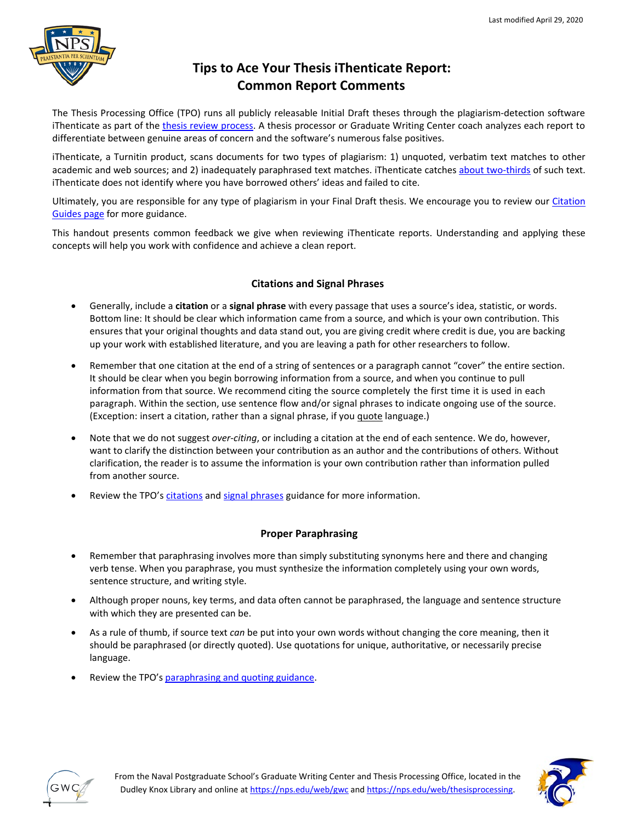

# **Tips to Ace Your Thesis iThenticate Report: Common Report Comments**

The Thesis Processing Office (TPO) runs all publicly releasable Initial Draft theses through the plagiarism-detection software iThenticate as part of the [thesis review process.](https://nps.edu/web/gwc/the-main-faq) A thesis processor or Graduate Writing Center coach analyzes each report to differentiate between genuine areas of concern and the software's numerous false positives.

iThenticate, a Turnitin product, scans documents for two types of plagiarism: 1) unquoted, verbatim text matches to other academic and web sources; and 2) inadequately paraphrased text matches. iThenticate catches [about two-thirds](https://www.insidehighered.com/news/2015/07/14/turnitin-faces-new-questions-about-efficacy-plagiarism-detection-software) of such text. iThenticate does not identify where you have borrowed others' ideas and failed to cite.

Ultimately, you are responsible for any type of plagiarism in your Final Draft thesis. We encourage you to review our Citation [Guides page](https://nps.edu/web/thesisprocessing/citation-guides) for more guidance.

This handout presents common feedback we give when reviewing iThenticate reports. Understanding and applying these concepts will help you work with confidence and achieve a clean report.

## **Citations and Signal Phrases**

- Generally, include a **citation** or a **signal phrase** with every passage that uses a source's idea, statistic, or words. Bottom line: It should be clear which information came from a source, and which is your own contribution. This ensures that your original thoughts and data stand out, you are giving credit where credit is due, you are backing up your work with established literature, and you are leaving a path for other researchers to follow.
- Remember that one citation at the end of a string of sentences or a paragraph cannot "cover" the entire section. It should be clear when you begin borrowing information from a source, and when you continue to pull information from that source. We recommend citing the source completely the first time it is used in each paragraph. Within the section, use sentence flow and/or signal phrases to indicate ongoing use of the source. (Exception: insert a citation, rather than a signal phrase, if you quote language.)
- Note that we do not suggest *over-citing*, or including a citation at the end of each sentence. We do, however, want to clarify the distinction between your contribution as an author and the contributions of others. Without clarification, the reader is to assume the information is your own contribution rather than information pulled from another source.
- Review the TPO's [citations](https://nps.edu/documents/105790666/106471207/Citing_Responsibly_NPS_Refresher.pdf) and [signal phrases](https://nps.edu/documents/105790666/106471207/Signal_Phrases.pdf) guidance for more information.

## **Proper Paraphrasing**

- Remember that paraphrasing involves more than simply substituting synonyms here and there and changing verb tense. When you paraphrase, you must synthesize the information completely using your own words, sentence structure, and writing style.
- Although proper nouns, key terms, and data often cannot be paraphrased, the language and sentence structure with which they are presented can be.
- As a rule of thumb, if source text *can* be put into your own words without changing the core meaning, then it should be paraphrased (or directly quoted). Use quotations for unique, authoritative, or necessarily precise language.
- Review the TPO's [paraphrasing and quoting guidance.](https://nps.edu/documents/105790666/106471207/Paraphrasing+and+Quoting+Responsibly%2C+All+Styles.pdf)



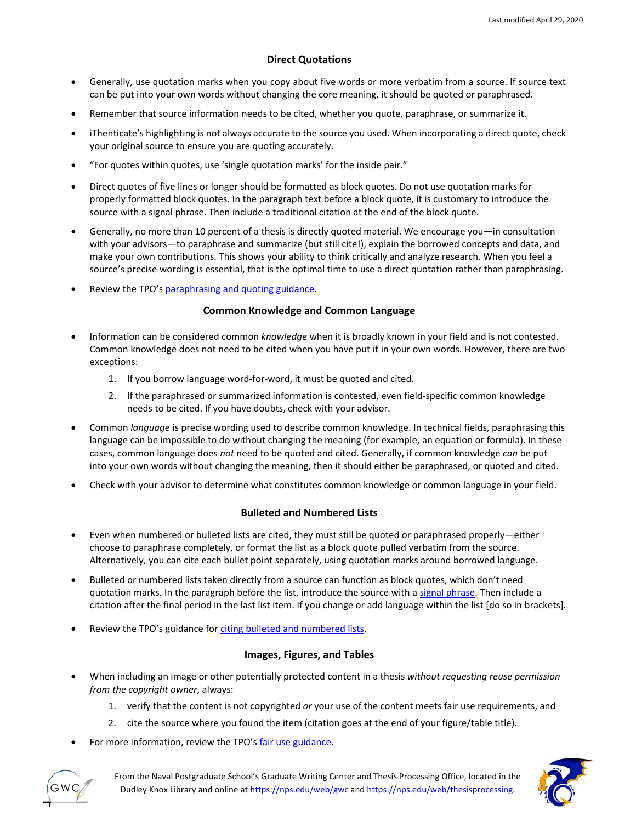#### **Direct Quotations**

- Generally, use quotation marks when you copy about five words or more verbatim from a source. If source text can be put into your own words without changing the core meaning, it should be quoted or paraphrased.
- Remember that source information needs to be cited, whether you quote, paraphrase, or summarize it.
- iThenticate's highlighting is not always accurate to the source you used. When incorporating a direct quote, check your original source to ensure you are quoting accurately.
- "For quotes within quotes, use 'single quotation marks' for the inside pair."
- Direct quotes of five lines or longer should be formatted as block quotes. Do not use quotation marks for properly formatted block quotes. In the paragraph text before a block quote, it is customary to introduce the source with a signal phrase. Then include a traditional citation at the end of the block quote.
- Generally, no more than 10 percent of a thesis is directly quoted material. We encourage you—in consultation with your advisors—to paraphrase and summarize (but still cite!), explain the borrowed concepts and data, and make your own contributions. This shows your ability to think critically and analyze research. When you feel a source's precise wording is essential, that is the optimal time to use a direct quotation rather than paraphrasing.
- Review the TPO's [paraphrasing and quoting guidance.](https://nps.edu/documents/105790666/106471207/Paraphrasing+and+Quoting+Responsibly%2C+All+Styles.pdf)

#### **Common Knowledge and Common Language**

- Information can be considered common *knowledge* when it is broadly known in your field and is not contested. Common knowledge does not need to be cited when you have put it in your own words. However, there are two exceptions:
	- 1. If you borrow language word-for-word, it must be quoted and cited.
	- 2. If the paraphrased or summarized information is contested, even field-specific common knowledge needs to be cited. If you have doubts, check with your advisor.
- Common *language* is precise wording used to describe common knowledge. In technical fields, paraphrasing this language can be impossible to do without changing the meaning (for example, an equation or formula). In these cases, common language does *not* need to be quoted and cited. Generally, if common knowledge *can* be put into your own words without changing the meaning, then it should either be paraphrased, or quoted and cited.
- Check with your advisor to determine what constitutes common knowledge or common language in your field.

### **Bulleted and Numbered Lists**

- Even when numbered or bulleted lists are cited, they must still be quoted or paraphrased properly—either choose to paraphrase completely, or format the list as a block quote pulled verbatim from the source. Alternatively, you can cite each bullet point separately, using quotation marks around borrowed language.
- Bulleted or numbered lists taken directly from a source can function as block quotes, which don't need quotation marks. In the paragraph before the list, introduce the source with a [signal phrase.](https://nps.edu/documents/105790666/106471207/Signal_Phrases.pdf) Then include a citation after the final period in the last list item. If you change or add language within the list [do so in brackets].
- Review the TPO's guidance fo[r citing bulleted and numbered lists.](https://nps.edu/documents/105790666/106471207/Citing+Bulleted+and+Numbered+Lists.pdf)

#### **Images, Figures, and Tables**

- When including an image or other potentially protected content in a thesis *without requesting reuse permission from the copyright owner*, always:
	- 1. verify that the content is not copyrighted *or* your use of the content meets fair use requirements, and
	- 2. cite the source where you found the item (citation goes at the end of your figure/table title).
- For more information, review the TPO's [fair use guidance.](https://my.nps.edu/documents/105790666/106471207/Borrowing_Images_Tables_Figures_Fairly.pdf)



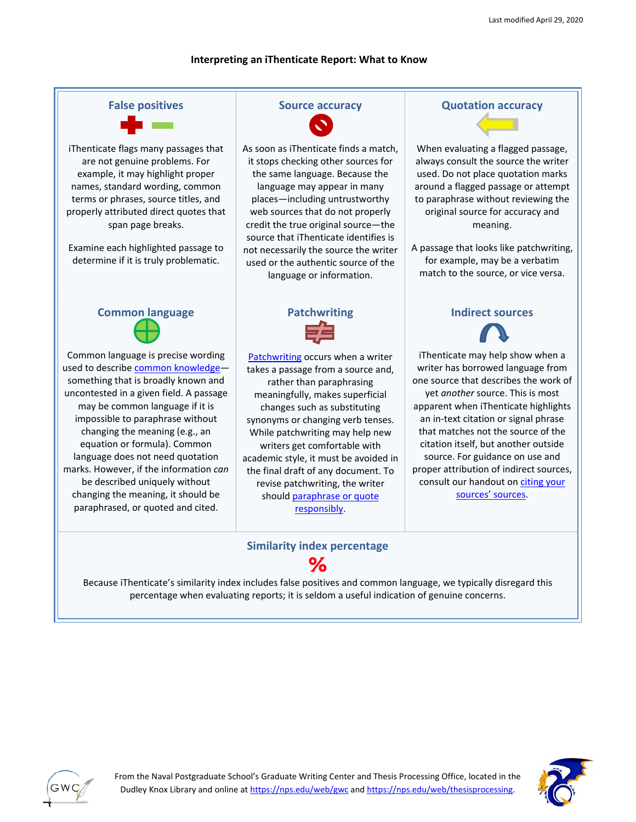#### **Interpreting an iThenticate Report: What to Know**



# **Similarity index percentage %**

Because iThenticate's similarity index includes false positives and common language, we typically disregard this percentage when evaluating reports; it is seldom a useful indication of genuine concerns.